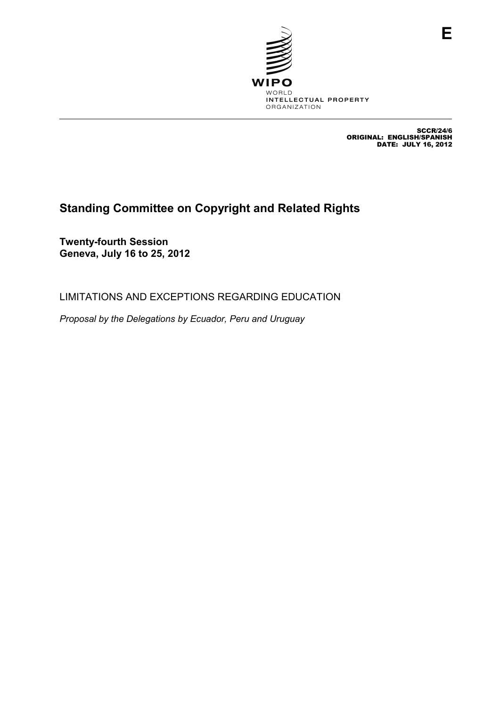

SCCR/24/6 ORIGINAL: ENGLISH/SPANISH DATE: JULY 16, 2012

**E**

## **Standing Committee on Copyright and Related Rights**

**Twenty-fourth Session Geneva, July 16 to 25, 2012** 

LIMITATIONS AND EXCEPTIONS REGARDING EDUCATION

*Proposal by the Delegations by Ecuador, Peru and Uruguay*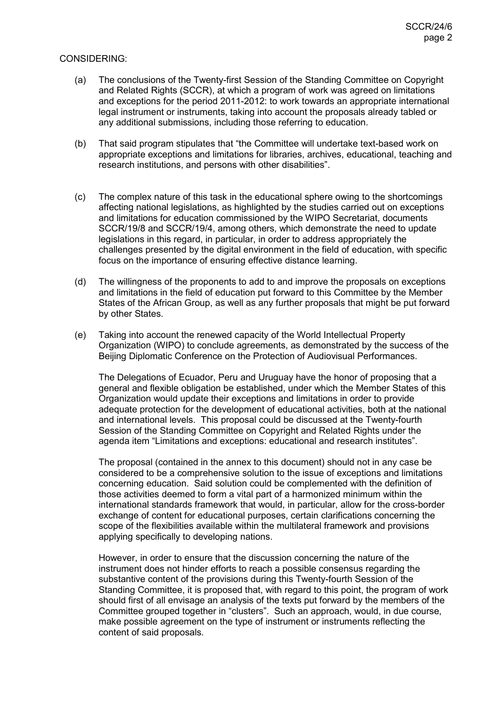## CONSIDERING:

- (a) The conclusions of the Twenty-first Session of the Standing Committee on Copyright and Related Rights (SCCR), at which a program of work was agreed on limitations and exceptions for the period 2011-2012: to work towards an appropriate international legal instrument or instruments, taking into account the proposals already tabled or any additional submissions, including those referring to education.
- (b) That said program stipulates that "the Committee will undertake text-based work on appropriate exceptions and limitations for libraries, archives, educational, teaching and research institutions, and persons with other disabilities".
- (c) The complex nature of this task in the educational sphere owing to the shortcomings affecting national legislations, as highlighted by the studies carried out on exceptions and limitations for education commissioned by the WIPO Secretariat, documents SCCR/19/8 and SCCR/19/4, among others, which demonstrate the need to update legislations in this regard, in particular, in order to address appropriately the challenges presented by the digital environment in the field of education, with specific focus on the importance of ensuring effective distance learning.
- (d) The willingness of the proponents to add to and improve the proposals on exceptions and limitations in the field of education put forward to this Committee by the Member States of the African Group, as well as any further proposals that might be put forward by other States.
- (e) Taking into account the renewed capacity of the World Intellectual Property Organization (WIPO) to conclude agreements, as demonstrated by the success of the Beijing Diplomatic Conference on the Protection of Audiovisual Performances.

The Delegations of Ecuador, Peru and Uruguay have the honor of proposing that a general and flexible obligation be established, under which the Member States of this Organization would update their exceptions and limitations in order to provide adequate protection for the development of educational activities, both at the national and international levels. This proposal could be discussed at the Twenty-fourth Session of the Standing Committee on Copyright and Related Rights under the agenda item "Limitations and exceptions: educational and research institutes".

The proposal (contained in the annex to this document) should not in any case be considered to be a comprehensive solution to the issue of exceptions and limitations concerning education. Said solution could be complemented with the definition of those activities deemed to form a vital part of a harmonized minimum within the international standards framework that would, in particular, allow for the cross-border exchange of content for educational purposes, certain clarifications concerning the scope of the flexibilities available within the multilateral framework and provisions applying specifically to developing nations.

However, in order to ensure that the discussion concerning the nature of the instrument does not hinder efforts to reach a possible consensus regarding the substantive content of the provisions during this Twenty-fourth Session of the Standing Committee, it is proposed that, with regard to this point, the program of work should first of all envisage an analysis of the texts put forward by the members of the Committee grouped together in "clusters". Such an approach, would, in due course, make possible agreement on the type of instrument or instruments reflecting the content of said proposals.